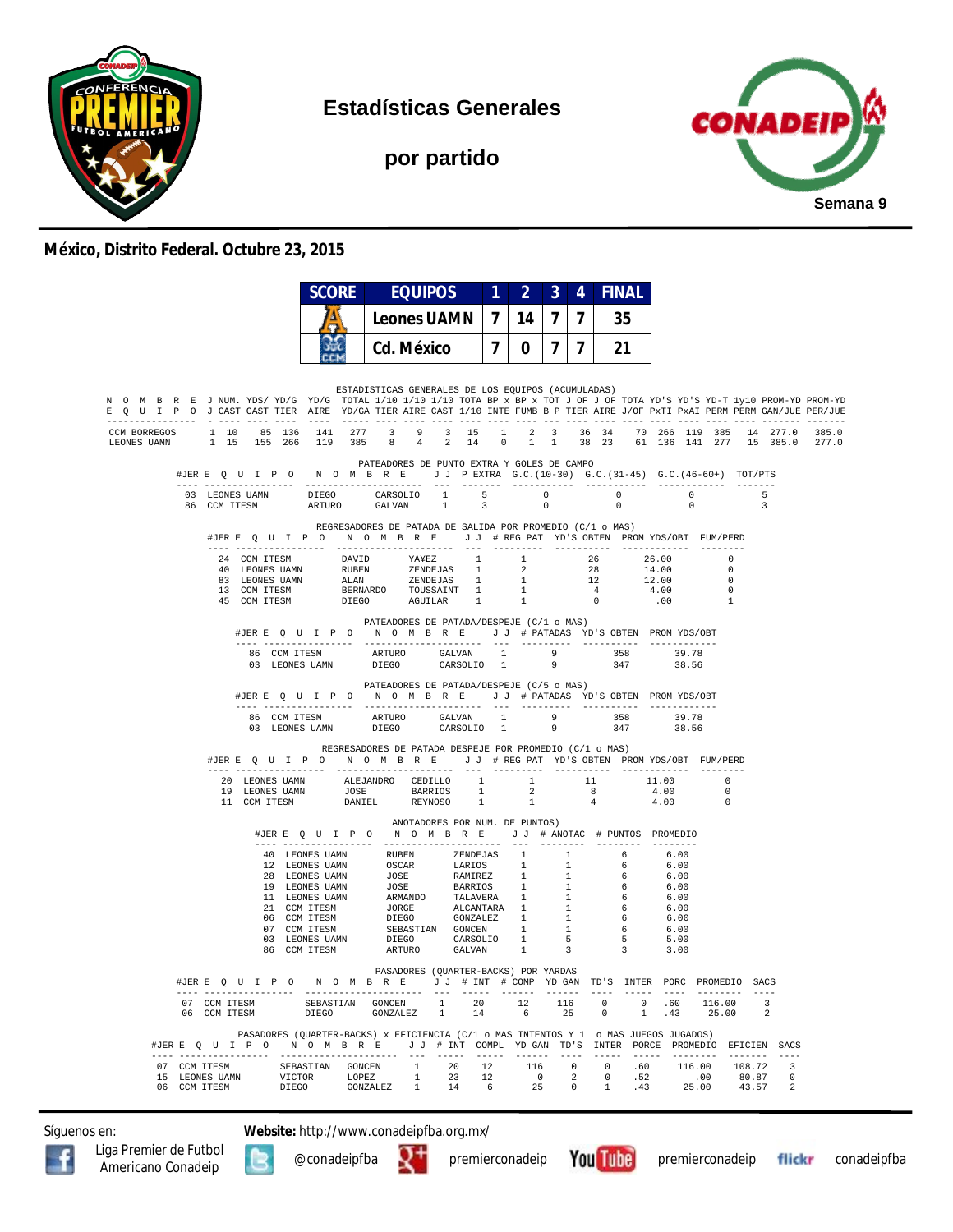

**Estadísticas Generales**

**por partido**



#### **México, Distrito Federal. Octubre 23, 2015**

|                                                                                                                                                                                                                                                                                                                                                                                                                                           |                                                                                                                                                                                                                                                                                                                                                                              | <b>SCORE</b><br><b>EQUIPOS</b>                                                               |                                | $1 \quad 2 \quad$ |             | 3 <sup>1</sup> | 4 <sup>1</sup> | <b>FINAL</b> |                                                                                        |                                                    |            |                 |
|-------------------------------------------------------------------------------------------------------------------------------------------------------------------------------------------------------------------------------------------------------------------------------------------------------------------------------------------------------------------------------------------------------------------------------------------|------------------------------------------------------------------------------------------------------------------------------------------------------------------------------------------------------------------------------------------------------------------------------------------------------------------------------------------------------------------------------|----------------------------------------------------------------------------------------------|--------------------------------|-------------------|-------------|----------------|----------------|--------------|----------------------------------------------------------------------------------------|----------------------------------------------------|------------|-----------------|
|                                                                                                                                                                                                                                                                                                                                                                                                                                           |                                                                                                                                                                                                                                                                                                                                                                              | <b>Leones UAMN</b>                                                                           |                                | 7 14 7            |             |                | $\mathbf{7}$   | 35           |                                                                                        |                                                    |            |                 |
|                                                                                                                                                                                                                                                                                                                                                                                                                                           | GС                                                                                                                                                                                                                                                                                                                                                                           | <b>Cd. México</b>                                                                            |                                | $\overline{7}$    | $0-1$       | $\overline{7}$ | $\mathbf{7}$   | 21           |                                                                                        |                                                    |            |                 |
| N O M B R E J NUM. YDS/YD/G YD/G TOTAL 1/10 1/10 1/10 TOTA BP x BP x TOT J OF J OF TOTA YD'S YD-T 1y10 PROM-YD PROM-YD<br>E Q U I P O J CAST CAST TIER AIRE YD/GA TIER AIRE CAST 1/10 INTE FUMB B P TIER AIRE J/OF PXTI PXAI PERM BERM GAN/JUE PER/JUE<br>CCM BORREGOS 1 10<br>85 136<br>1 15 155 266<br>LEONES UAMN                                                                                                                      | 141 277<br>119 385                                                                                                                                                                                                                                                                                                                                                           | ESTADISTICAS GENERALES DE LOS EQUIPOS (ACUMULADAS)<br>4 <sup>1</sup><br>$\overline{8}$       | 3 9 3 15<br>2 14               | $\overline{0}$    | $1 \quad 1$ |                |                |              | 1 2 3 36 34 70 266 119 385 14 277.0<br>38 23 61 136 141 277 15 385.0                   |                                                    |            | 385.0<br>2.77.0 |
|                                                                                                                                                                                                                                                                                                                                                                                                                                           |                                                                                                                                                                                                                                                                                                                                                                              | PATEADORES DE PUNTO EXTRA Y GOLES DE CAMPO                                                   |                                |                   |             |                |                |              |                                                                                        |                                                    |            |                 |
| $03\quad\text{LEONES UAMN}\qquad \qquad \text{DIEGO}\qquad \qquad \text{CARSOLIO}\qquad \ 1\qquad \quad \  5\qquad \qquad \qquad 0\qquad \qquad \qquad 0\qquad \qquad 0\qquad \qquad 0\qquad \qquad 0\qquad \qquad 0\qquad \qquad 0\qquad \qquad 0\qquad \qquad 0\qquad \qquad 0\qquad \qquad 0\qquad \qquad 0\qquad \qquad 0\qquad \qquad 0\qquad \qquad 0\qquad \qquad 0\qquad \qquad 0\qquad \qquad 0\qquad \qquad 0\qquad \qquad 0\q$ |                                                                                                                                                                                                                                                                                                                                                                              |                                                                                              |                                |                   |             |                |                |              |                                                                                        | $\overline{\mathbf{0}}$<br>$\Omega$                | $-5$<br>-3 |                 |
| #JERE Q U I P O N O M B R E J J # REG PAT YD'S OBTEN PROMYDS/OBT FUM/PERD                                                                                                                                                                                                                                                                                                                                                                 |                                                                                                                                                                                                                                                                                                                                                                              | REGRESADORES DE PATADA DE SALIDA POR PROMEDIO (C/1 o MAS)                                    |                                |                   |             |                |                |              |                                                                                        |                                                    |            |                 |
|                                                                                                                                                                                                                                                                                                                                                                                                                                           | $\begin{tabular}{cccccccc} 24 & COM TTSM & DAVID & YAYEZ & 1 & 1 & 26 & 26.00 & 0 \\ 40 & LEONES UANN & RUBEN & ZENDEJAS & 1 & 2 & 28 & 14.00 & 0 \\ 83 & LENDE & ZENDEJAS & 1 & 2 & 28 & 14.00 & 0 \\ 84 & LENNSU & ALAN & ZENDEJAS & 1 & 1 & 12 & 12.00 & 0 \\ 13 & CCM TTSM & BERNARDO & TOUSSAINT & 1 & 1 & 4 & 4.00 & 0 \\ 45 & CCM TTSM & DIEGO & AGULLAR & 1 & 1 & 0$ |                                                                                              |                                |                   |             |                |                |              |                                                                                        |                                                    |            |                 |
|                                                                                                                                                                                                                                                                                                                                                                                                                                           | #JERE Q U I P O N O M B R E J J # PATADAS YD'S OBTEN PROMYDS/OBT                                                                                                                                                                                                                                                                                                             | PATEADORES DE PATADA/DESPEJE (C/1 o MAS)                                                     |                                |                   |             |                |                |              |                                                                                        |                                                    |            |                 |
|                                                                                                                                                                                                                                                                                                                                                                                                                                           | #JERE Q U I P O                                                                                                                                                                                                                                                                                                                                                              | PATEADORES DE PATADA/DESPEJE (C/5 o MAS)<br>N O M B R E J J # PATADAS YD'S OBTEN PROMYDS/OBT |                                |                   |             |                |                |              | 39.78<br>38.56                                                                         |                                                    |            |                 |
| #JERE Q U I P O N O M B R E J J # REG PAT YD'S OBTEN PROMYDS/OBT FUM/PERD                                                                                                                                                                                                                                                                                                                                                                 |                                                                                                                                                                                                                                                                                                                                                                              | REGRESADORES DE PATADA DESPEJE POR PROMEDIO (C/1 o MAS)                                      |                                |                   |             |                |                |              |                                                                                        |                                                    |            |                 |
|                                                                                                                                                                                                                                                                                                                                                                                                                                           | $\begin{tabular}{cccccccc} 20 & LEONES UAMN & ALEJANDRO & CEDILLO & 1 & 1 & 11 & 11.00 \\ 19 & LEONES UAMN & JOSE & BARRIOS & 1 & 2 & 8 & 4.00 \\ 11 & CCM ITESM & DANIEL & REYNOSO & 1 & 1 & 4 & 4.00 \\ \end{tabular}$                                                                                                                                                     |                                                                                              |                                |                   |             |                |                |              |                                                                                        | $\overline{0}$<br>$\overline{0}$<br>$\overline{0}$ |            |                 |
|                                                                                                                                                                                                                                                                                                                                                                                                                                           | #JERE Q U I P O N O M B R E J J # ANOTAC # PUNTOS PROMEDIO                                                                                                                                                                                                                                                                                                                   |                                                                                              | ANOTADORES POR NUM. DE PUNTOS) |                   |             |                |                |              |                                                                                        |                                                    |            |                 |
|                                                                                                                                                                                                                                                                                                                                                                                                                                           |                                                                                                                                                                                                                                                                                                                                                                              |                                                                                              |                                |                   |             |                |                |              | 6.00<br>6.00<br>6.00<br>6.00<br>$6.00$<br>$6.00$<br>$6.00$<br>$6.00$<br>$5.00$<br>3.00 |                                                    |            |                 |
| #JERE Q U I P O N O M B R E J J # INT # COMP YD GAN TD'S INTER PORC PROMEDIO SACS                                                                                                                                                                                                                                                                                                                                                         |                                                                                                                                                                                                                                                                                                                                                                              | PASADORES (QUARTER-BACKS) POR YARDAS                                                         |                                |                   |             |                |                |              |                                                                                        |                                                    |            |                 |
| $\begin{tabular}{lcccccc} 07 & \text{CCM TTS} & & & & & & \text{SEBASTIAN} & \text{GONCEN} & & 1 & 20 & 12 & 116 & 0 & 0 & .60 & 116.00 & 3 \\ 06 & \text{CCM TTS} & & & & & \text{DIEGO} & & \text{GONZALEZ} & 1 & 14 & 6 & 25 & 0 & 1 & .43 & 25.00 & 2 \\ \end{tabular}$                                                                                                                                                               |                                                                                                                                                                                                                                                                                                                                                                              |                                                                                              |                                |                   |             |                |                |              |                                                                                        |                                                    |            |                 |
| #JERE Q U I P O N O M B R E J J # INT COMPL YDGAN TD'S INTER PORCE PROMEDIO EFICIEN SACS                                                                                                                                                                                                                                                                                                                                                  | PASADORES (QUARTER-BACKS) x EFICIENCIA (C/1 o MAS INTENTOS Y 1 o MAS JUEGOS JUGADOS)                                                                                                                                                                                                                                                                                         |                                                                                              |                                |                   |             |                |                |              |                                                                                        |                                                    |            |                 |
| $\begin{tabular}{cccccccc} 07 & CCM TTESM & SEBASTIAN & GONCEN & 1 & 20 & 12 & 116 & 0 & 0 & .60 & 116.00 & 108.72 & 3 \\ 15 & LEONES UANN & VICTOR & LOPEZ & 1 & 23 & 12 & 0 & 2 & 0 & .52 & .00 & 80.87 & 0 \\ 06 & CCM TTESM & DIEGO & GONZALEZ & 1 & 14 & 6 & 25 & 0 & 1 & .43 & 25.00 & 43.57 & 2 \\ \end{tabular}$                                                                                                                  |                                                                                                                                                                                                                                                                                                                                                                              |                                                                                              |                                |                   |             |                |                |              |                                                                                        |                                                    |            |                 |

Síguenos en: **Website:** http://www.conadeipfba.org.mx/







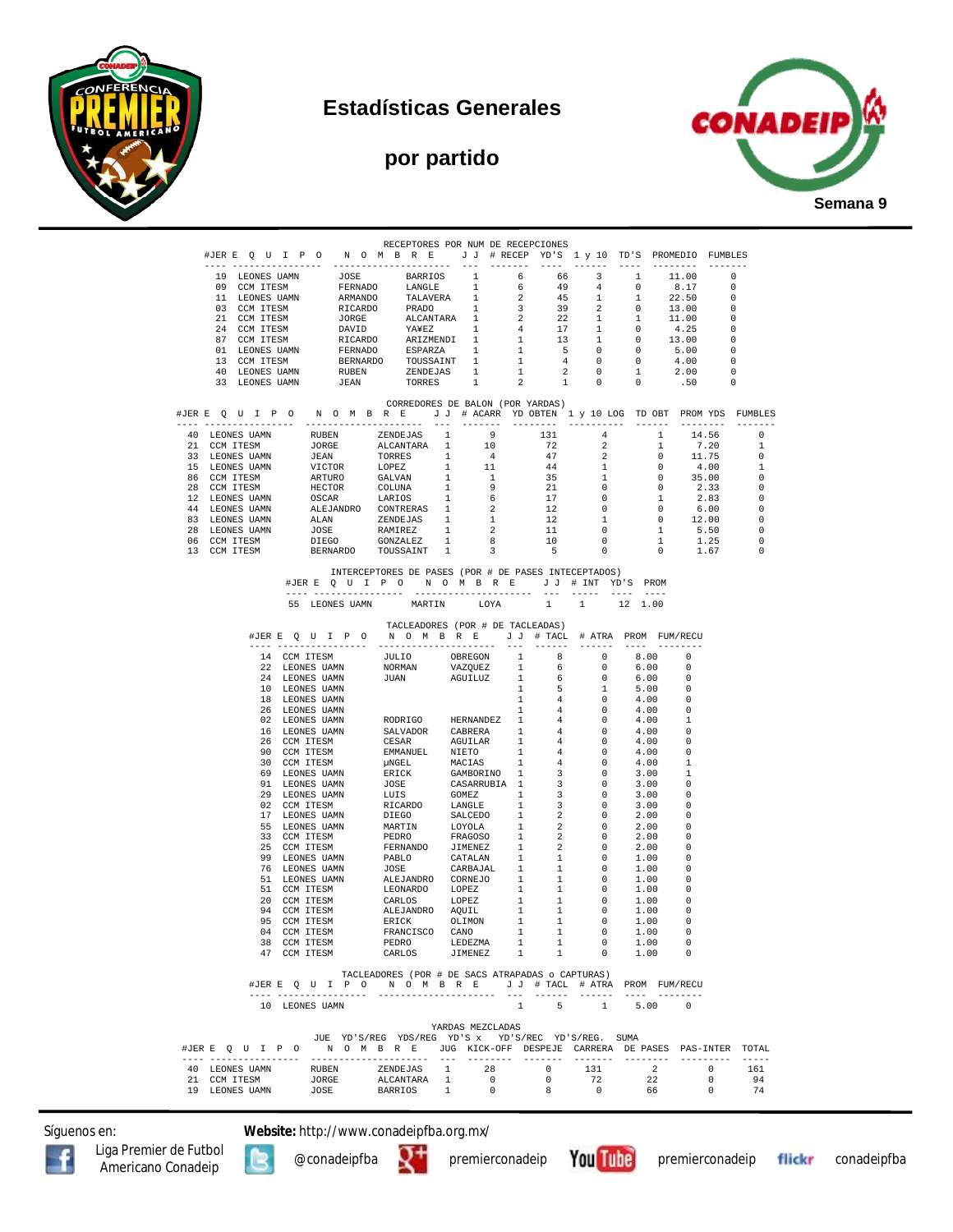

## **Estadísticas Generales**

# **por partido**



| RECEPTORES POR NUM DE RECEPCIONES<br>#JERE QUIPO NOMBRE JJ #RECEP YD'S 1 y 10 TD'S PROMEDIO FUMBLES |                                                                                   |                              |                                  |                                                                                                                                                                                                                                                        |  |                          |                                            |                                              |                                                                       |                                  |                      |                                                                      |                         |
|-----------------------------------------------------------------------------------------------------|-----------------------------------------------------------------------------------|------------------------------|----------------------------------|--------------------------------------------------------------------------------------------------------------------------------------------------------------------------------------------------------------------------------------------------------|--|--------------------------|--------------------------------------------|----------------------------------------------|-----------------------------------------------------------------------|----------------------------------|----------------------|----------------------------------------------------------------------|-------------------------|
|                                                                                                     |                                                                                   |                              |                                  |                                                                                                                                                                                                                                                        |  | -------------            |                                            |                                              |                                                                       |                                  | ________________     |                                                                      |                         |
|                                                                                                     | 19 LEONES UAMN                                                                    |                              |                                  | JOSE BARRIOS                                                                                                                                                                                                                                           |  | 1                        | 6                                          | 66                                           | $\overline{\mathbf{3}}$                                               | $\mathbf{1}$                     |                      | 11.00                                                                | 0                       |
|                                                                                                     | 09 CCM ITESM<br>11 LEONES UAMN                                                    |                              | FERNADO                          | LANGLE<br>ARMANDO TALAVERA 1                                                                                                                                                                                                                           |  | 1                        | 6<br>$\overline{\phantom{a}}$ 2            | 49<br>45                                     | 4<br>1                                                                | $\overline{0}$<br>$\overline{1}$ |                      | 8.17<br>$\Omega$<br>22.50<br>- 0                                     |                         |
|                                                                                                     | 03 CCM ITESM                                                                      |                              |                                  |                                                                                                                                                                                                                                                        |  |                          |                                            |                                              | 2                                                                     | $\overline{\phantom{0}}$         |                      | 13.00<br>$\overline{\phantom{0}}$                                    |                         |
|                                                                                                     | 21 CCM ITESM<br>21 CCM ITESM<br>24 CCM ITESM<br>87 CCM ITESM                      |                              |                                  |                                                                                                                                                                                                                                                        |  |                          |                                            |                                              | $\mathbf{1}$<br>$\mathbf{1}$                                          | $\mathbf{1}$<br>$\overline{0}$   |                      | 11.00<br>$\overline{\phantom{0}}$<br>- 0                             |                         |
|                                                                                                     |                                                                                   |                              |                                  |                                                                                                                                                                                                                                                        |  |                          |                                            | 13                                           | 1                                                                     | $\overline{0}$                   |                      | 4.25<br>13.00<br>$\overline{\phantom{0}}$                            |                         |
|                                                                                                     | 01 LEONES UAMN                                                                    |                              |                                  |                                                                                                                                                                                                                                                        |  |                          |                                            | 5 <sub>5</sub>                               | $\overline{0}$                                                        | $\overline{0}$                   |                      | 5.00<br>$\overline{\phantom{0}}$                                     |                         |
|                                                                                                     | 13 CCM ITESM<br>40 LEONES UAMN                                                    |                              |                                  | ARMANDO TALAVEKA 1 2 12<br>RICARDO PADO 1 3 39<br>JORGE ALCANTARA 1 2 22<br>DAVID YAVEZ 1 4 17<br>RICARDO ARIZMENDI 1 4 13<br>FERNADO ESPARZA 1 1 5<br>BERNADO ESPARZA 1 1 4<br>1 5<br>NUTHER TOUSSAINT 1 1 4<br>TUTHER TRONALLED TOUSSAINT 1 1        |  |                          | 1                                          | $\overline{2}$                               | $\overline{0}$<br>$\overline{0}$                                      | $\overline{0}$<br>1              |                      | 4.00<br>$\overline{\phantom{0}}$<br>2.00<br>$\overline{\phantom{0}}$ |                         |
|                                                                                                     | 33 LEONES UAMN                                                                    |                              |                                  | RUBEN ZENDEJAS 1<br>JEAN TORRES 1                                                                                                                                                                                                                      |  |                          | $\overline{2}$                             | $\sim$ 1                                     | $\overline{0}$                                                        | $\overline{0}$                   |                      | .50<br>$\overline{\phantom{0}}$                                      |                         |
|                                                                                                     |                                                                                   |                              |                                  | CORREDORES DE BALON (POR YARDAS)                                                                                                                                                                                                                       |  |                          |                                            |                                              |                                                                       |                                  |                      |                                                                      |                         |
|                                                                                                     | #JERE QUIPO NOMBRE JJ #ACARR YDOBTEN 1 y 10 LOG TDOBT PROMYDS FUMBLES             |                              |                                  |                                                                                                                                                                                                                                                        |  |                          |                                            |                                              |                                                                       |                                  |                      |                                                                      |                         |
|                                                                                                     | 40 LEONES UAMN<br>21 CCM ITESM                                                    |                              |                                  | - ----------------------<br>RUBEN ZENDEJAS 1 9<br>JORGE ALCANTARA 1 10<br>------- 1 4                                                                                                                                                                  |  |                          |                                            | 131<br>72                                    | $4\overline{4}$<br>2                                                  |                                  | 1<br>$\mathbf{1}$    | 14.56<br>7.20                                                        | $\circ$<br>$\mathbf{1}$ |
|                                                                                                     | 33 LEONES UAMN                                                                    |                              | JEAN                             | TORRES 1                                                                                                                                                                                                                                               |  |                          |                                            | 47                                           | $\overline{2}$                                                        |                                  | $\overline{0}$       | 11.75                                                                | 0                       |
|                                                                                                     | 15 LEONES UAMN                                                                    |                              |                                  |                                                                                                                                                                                                                                                        |  |                          |                                            | $44$<br>$35$<br>$21$<br>$17$<br>$12$<br>$12$ | 1                                                                     |                                  | $\overline{0}$       | 4.00                                                                 | 1                       |
|                                                                                                     | 86 CCM ITESM<br>28 CCM ITESM                                                      |                              |                                  |                                                                                                                                                                                                                                                        |  |                          |                                            |                                              | $\mathbf{1}$<br>$\overline{0}$                                        |                                  | $\overline{0}$       | $0 \t 35.00$<br>2.33                                                 | 0<br>0                  |
|                                                                                                     | 12 LEONES UAMN                                                                    |                              |                                  |                                                                                                                                                                                                                                                        |  |                          |                                            |                                              | $\overline{0}$                                                        |                                  | 1                    | 2.83                                                                 | 0                       |
|                                                                                                     | 44 LEONES UAMN                                                                    |                              |                                  |                                                                                                                                                                                                                                                        |  |                          |                                            |                                              | $\begin{smallmatrix}0\\1\end{smallmatrix}$                            |                                  | $\overline{0}$       | 6.00                                                                 | 0                       |
|                                                                                                     | 83 LEONES UAMN<br>28 LEONES UAMN                                                  |                              |                                  |                                                                                                                                                                                                                                                        |  |                          |                                            | 11                                           |                                                                       |                                  | $\overline{0}$<br>1  | 12.00<br>5.50                                                        | 0<br>0                  |
|                                                                                                     | 06 CCM ITESM                                                                      |                              |                                  | VICTOR LOPEZ 1 11<br>NECTOR LOPEZ 1 11<br>HECTOR COLUNA 1 9<br>SCCAR LARIOS 1 6<br>ALEJANDRO CONTRERAS 1 2<br>ALAIN ZEMBEJAS 1 1<br>JOSE RAMIREZ 1 2<br>DEEGO GONZALEZ 1 2<br>DEEGO GONZALEZ 1 3<br>DEEGO GONZALEZ 1 8<br>DEEGO GONZALEZ 1 8           |  |                          |                                            | 10                                           | $\begin{matrix}0\\0\end{matrix}$                                      |                                  | 1                    | 1.25                                                                 | 0                       |
|                                                                                                     | 13 CCM ITESM                                                                      |                              |                                  | BERNARDO TOUSSAINT 1                                                                                                                                                                                                                                   |  | $\overline{\mathbf{3}}$  |                                            | 5                                            | $\overline{0}$                                                        |                                  | $\overline{0}$       | 1.67                                                                 | $\Omega$                |
|                                                                                                     |                                                                                   |                              |                                  | INTERCEPTORES DE PASES (POR # DE PASES INTECEPTADOS)<br>#JERE QUIPONOMBRE JJ # INT YD'S PROM                                                                                                                                                           |  |                          |                                            |                                              |                                                                       |                                  |                      |                                                                      |                         |
|                                                                                                     |                                                                                   |                              | ---- ----------------            |                                                                                                                                                                                                                                                        |  | ----------------------   |                                            | and control                                  | 1                                                                     | ---- ----<br>12 1.00             |                      |                                                                      |                         |
|                                                                                                     |                                                                                   |                              | 55 LEONES UAMN                   |                                                                                                                                                                                                                                                        |  | MARTIN LOYA              |                                            | $\mathbf{1}$                                 |                                                                       |                                  |                      |                                                                      |                         |
|                                                                                                     |                                                                                   |                              |                                  | TACLEADORES (POR # DE TACLEADAS)<br>#JERE QUIPO NOMBRE JJ # TACL # ATRA PROM FUM/RECU                                                                                                                                                                  |  |                          |                                            |                                              |                                                                       |                                  |                      |                                                                      |                         |
|                                                                                                     |                                                                                   |                              | 14 CCM ITESM                     |                                                                                                                                                                                                                                                        |  |                          |                                            | 8 <sup>1</sup>                               | $\sim$ 0                                                              | 8.00                             |                      | - 0                                                                  |                         |
|                                                                                                     |                                                                                   |                              | 22 LEONES UAMN                   | JULIO OBREGON 1<br>NORMAN VAZQUEZ 1                                                                                                                                                                                                                    |  |                          |                                            | $6\overline{6}$                              | $\overline{\phantom{0}}$                                              | 6.00                             |                      | $\circ$                                                              |                         |
|                                                                                                     |                                                                                   |                              | 24 LEONES UAMN<br>10 LEONES UAMN | JUAN AGUILUZ 1                                                                                                                                                                                                                                         |  |                          | $\mathbf{1}$                               | 6<br>5                                       | $\Omega$<br>1                                                         | 6.00<br>5.00                     |                      | - 0<br>. വ                                                           |                         |
|                                                                                                     |                                                                                   |                              | 18 LEONES UAMN                   |                                                                                                                                                                                                                                                        |  |                          | $\mathbf{1}$                               | 4                                            | $\overline{\phantom{0}}$                                              | 4.00                             |                      | - 0                                                                  |                         |
|                                                                                                     |                                                                                   |                              | 26 LEONES UAMN                   | RODRIGO HERNANDEZ 1                                                                                                                                                                                                                                    |  |                          | $\mathbf{1}$                               | 4 <sup>1</sup><br>$\overline{4}$             | $\overline{0}$                                                        | 4.00                             |                      | $\overline{\phantom{0}}$                                             |                         |
|                                                                                                     |                                                                                   |                              | 02 LEONES UAMN<br>16 LEONES UAMN | SALVADOR CABRERA 1                                                                                                                                                                                                                                     |  |                          |                                            | 4                                            | $\overline{0}$<br>$\overline{\phantom{0}}$                            | 4.00<br>4.00                     |                      | 1<br>- 0                                                             |                         |
|                                                                                                     |                                                                                   |                              | 26 CCM ITESM                     | CESAR AGUILAR<br>EMMANUEL NIETO                                                                                                                                                                                                                        |  |                          | $\mathbf{1}$                               | 4                                            | $\overline{0}$                                                        | 4.00                             |                      | - 0                                                                  |                         |
|                                                                                                     |                                                                                   |                              | 90 CCM ITESM<br>30 CCM ITESM     | EMANUEL NETO 1<br>PENICAL MACIAS 1<br>ERICK GAMBORINO 1<br>JOSE CASARRUBIA 1<br>LUIS GOMEZ 1<br>RICARDO LANGLE 1<br>DIEGO SALCEDO 1<br>MARTIN LOYOLA 1<br>PEDRO FRAGOSO 1<br>FERNANDO JIMENEZ 1<br>PABLO JIMENEZ 1<br>PABLO JIMENEZ 1<br>PABLO JIMENEZ |  |                          | 1                                          | $4 -$<br>4                                   | $\overline{0}$<br>$\overline{0}$                                      | 4.00<br>4.00                     |                      | - 0<br>$\overline{1}$                                                |                         |
|                                                                                                     |                                                                                   |                              | 69 LEONES UAMN                   |                                                                                                                                                                                                                                                        |  |                          |                                            | $\overline{\mathbf{3}}$                      | $\overline{0}$                                                        | 3.00                             |                      | - 1                                                                  |                         |
|                                                                                                     |                                                                                   |                              | 91 LEONES UAMN                   |                                                                                                                                                                                                                                                        |  |                          |                                            | $\overline{\mathbf{3}}$                      | $\overline{\phantom{0}}$                                              | 3.00                             |                      | 0                                                                    |                         |
|                                                                                                     |                                                                                   |                              | 29 LEONES UAMN<br>02 CCM ITESM   |                                                                                                                                                                                                                                                        |  |                          |                                            | $\overline{\mathbf{3}}$<br>$\frac{3}{3}$     | $\overline{0}$<br>$\overline{0}$                                      | 3.00                             | 3.00                 | $\Omega$<br>- 0                                                      |                         |
|                                                                                                     |                                                                                   |                              | 17 LEONES UAMN                   |                                                                                                                                                                                                                                                        |  |                          |                                            | $\overline{2}$                               | $\overline{\phantom{0}}$                                              | 2.00                             |                      | - 0                                                                  |                         |
|                                                                                                     |                                                                                   |                              | 55 LEONES UAMN                   |                                                                                                                                                                                                                                                        |  |                          |                                            |                                              |                                                                       | 2.00                             |                      | - 0                                                                  |                         |
|                                                                                                     |                                                                                   |                              | 33 CCM ITESM<br>25 CCM ITESM     |                                                                                                                                                                                                                                                        |  |                          |                                            |                                              |                                                                       | 2.00<br>2.00                     |                      | - 0<br>. വ                                                           |                         |
|                                                                                                     |                                                                                   |                              | 99 LEONES UAMN                   |                                                                                                                                                                                                                                                        |  |                          |                                            |                                              |                                                                       |                                  | 1.00                 | . റ                                                                  |                         |
|                                                                                                     |                                                                                   |                              | 76 LEONES UAMN<br>51 LEONES UAMN | MARTIN LOYOLA 1 2 0<br>PEDRO FRAGOSO 1 2 0<br>PERNANDO JIMENEZ 1 2 0<br>PABLO CATALAN 1 1 0<br>JOSE CARBAJAL 1 1 0<br>JOSE CARBAJAL 1 1 0<br>LEJANDRO LOPEZ 1 1 0<br>LEJANDRO LOPEZ 1 1 0<br>CARLO LOPEZ 1 1 0<br>CARLO LOPEZ 1 1 0<br>CARLO LOPEZ     |  |                          |                                            |                                              |                                                                       | 1.00                             | 1.00                 | $\overline{\phantom{0}}$<br>- 0                                      |                         |
|                                                                                                     |                                                                                   |                              | 51 CCM ITESM                     |                                                                                                                                                                                                                                                        |  |                          |                                            |                                              |                                                                       |                                  | 1.00                 | - 0                                                                  |                         |
|                                                                                                     |                                                                                   |                              | 20 CCM ITESM                     | -<br>CARLOS LOPEZ<br>ALEJANDRO AQUIL<br>ERICK OLIMON                                                                                                                                                                                                   |  |                          | $\begin{array}{c} 1 \\ 1 \\ 1 \end{array}$ | $\overline{1}$                               | $\sim$ 0                                                              | 1.00                             |                      | - റ                                                                  |                         |
|                                                                                                     |                                                                                   | 94 CCM ITESM<br>95 CCM ITESM |                                  |                                                                                                                                                                                                                                                        |  |                          |                                            | 1                                            | $\overline{0}$<br>$\begin{array}{ccc} 1 & & 0 \\ 1 & & 0 \end{array}$ | 1.00<br>1.00                     |                      | $\overline{\phantom{0}}$<br>$\overline{\phantom{0}}$                 |                         |
|                                                                                                     |                                                                                   |                              | 04 CCM ITESM                     | FRANCISCO CANO                                                                                                                                                                                                                                         |  |                          | 1                                          | $\mathbf{1}$                                 | $\sim$ 0                                                              |                                  | 1.00                 |                                                                      |                         |
|                                                                                                     |                                                                                   | 38 CCM ITESM<br>47 CCM ITESM |                                  | PEDRO<br>CARLOS                                                                                                                                                                                                                                        |  | LEDEZMA<br>JIMENEZ       | 1<br>1                                     | $\mathbf{1}$<br>$\overline{1}$               | 0<br>$\circ$                                                          |                                  | 1.00<br>1.00         | - 0<br>- 0                                                           |                         |
|                                                                                                     |                                                                                   |                              |                                  |                                                                                                                                                                                                                                                        |  |                          |                                            |                                              |                                                                       |                                  |                      |                                                                      |                         |
|                                                                                                     |                                                                                   |                              |                                  | TACLEADORES (POR # DE SACS ATRAPADAS o CAPTURAS)<br>#JERE QUIPO NOMBRE JJ # TACL # ATRA PROM FUM/RECU                                                                                                                                                  |  |                          |                                            |                                              |                                                                       |                                  |                      |                                                                      |                         |
|                                                                                                     |                                                                                   |                              | 10 LEONES UAMN                   |                                                                                                                                                                                                                                                        |  |                          |                                            |                                              | ---- ------ ------ ---- -------<br>$1 \quad 5 \quad 1$                |                                  | 5.00 0               |                                                                      |                         |
|                                                                                                     |                                                                                   |                              |                                  |                                                                                                                                                                                                                                                        |  |                          |                                            |                                              |                                                                       |                                  |                      |                                                                      |                         |
|                                                                                                     |                                                                                   |                              |                                  | JUE YD'S/REG YDS/REG YD'S x YD'S/REC YD'S/REG. SUMA                                                                                                                                                                                                    |  | YARDAS MEZCLADAS         |                                            |                                              |                                                                       |                                  |                      |                                                                      |                         |
|                                                                                                     | #JERE Q U I P O M O M B R E JUG KICK-OFF DESPEJE CARRERA DE PASES PAS-INTER TOTAL |                              |                                  |                                                                                                                                                                                                                                                        |  |                          |                                            |                                              |                                                                       |                                  |                      |                                                                      |                         |
|                                                                                                     |                                                                                   |                              |                                  | ZENDEJAS 1                                                                                                                                                                                                                                             |  | 28                       |                                            | $\overline{0}$                               | 131                                                                   |                                  |                      |                                                                      |                         |
|                                                                                                     | 40 LEONES UAMN<br>21 CCM ITESM                                                    |                              | RUBEN<br>JORGE                   | ALCANTARA 1                                                                                                                                                                                                                                            |  | $\overline{\phantom{0}}$ |                                            | $\circ$                                      | 72                                                                    |                                  | $\overline{2}$<br>22 | $\circ$<br>$\circ$                                                   | 161<br>94               |
|                                                                                                     | 19 LEONES UAMN                                                                    |                              | <b>JOSE</b>                      | BARRIOS 1                                                                                                                                                                                                                                              |  | $\overline{0}$           |                                            | 8 <sup>1</sup>                               | $\overline{0}$                                                        |                                  | 66                   | $\sim$ 0                                                             | 74                      |

Síguenos en: **Website:** http://www.conadeipfba.org.mx/